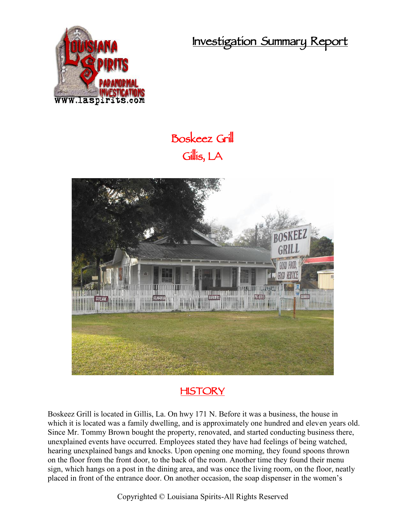**Investigation Summary Report**



## **Boskeez Grill Gillis, LA**



## **HISTORY**

Boskeez Grill is located in Gillis, La. On hwy 171 N. Before it was a business, the house in which it is located was a family dwelling, and is approximately one hundred and eleven years old. Since Mr. Tommy Brown bought the property, renovated, and started conducting business there, unexplained events have occurred. Employees stated they have had feelings of being watched, hearing unexplained bangs and knocks. Upon opening one morning, they found spoons thrown on the floor from the front door, to the back of the room. Another time they found their menu sign, which hangs on a post in the dining area, and was once the living room, on the floor, neatly placed in front of the entrance door. On another occasion, the soap dispenser in the women's

Copyrighted © Louisiana Spirits-All Rights Reserved